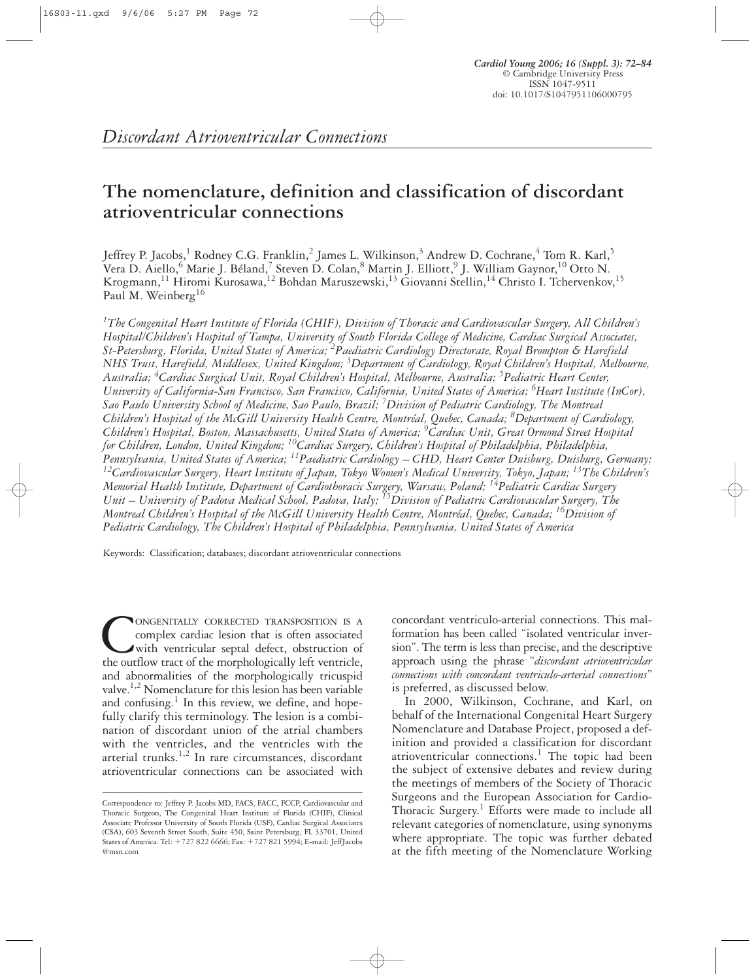# *Discordant Atrioventricular Connections*

# **The nomenclature, definition and classification of discordant atrioventricular connections**

Jeffrey P. Jacobs,<sup>1</sup> Rodney C.G. Franklin,<sup>2</sup> James L. Wilkinson,<sup>3</sup> Andrew D. Cochrane,<sup>4</sup> Tom R. Karl,<sup>5</sup> Vera D. Aiello,<sup>6</sup> Marie J. Béland,<sup>7</sup> Steven D. Colan,<sup>8</sup> Martin J. Elliott,<sup>9</sup> J. William Gaynor,<sup>10</sup> Otto N. Krogmann,<sup>11</sup> Hiromi Kurosawa,<sup>12</sup> Bohdan Maruszewski,<sup>13</sup> Giovanni Stellin,<sup>14</sup> Christo I. Tchervenkov,<sup>15</sup> Paul M. Weinberg<sup>16</sup>

*1 The Congenital Heart Institute of Florida (CHIF), Division of Thoracic and Cardiovascular Surgery, All Children's Hospital/Children's Hospital of Tampa, University of South Florida College of Medicine, Cardiac Surgical Associates, St-Petersburg, Florida, United States of America; 2 Paediatric Cardiology Directorate, Royal Brompton & Harefield NHS Trust, Harefield, Middlesex, United Kingdom; 3 Department of Cardiology, Royal Children's Hospital, Melbourne, Australia; 4 Cardiac Surgical Unit, Royal Children's Hospital, Melbourne, Australia; 5 Pediatric Heart Center, University of California-San Francisco, San Francisco, California, United States of America; 6 Heart Institute (InCor), Sao Paulo University School of Medicine, Sao Paulo, Brazil; 7 Division of Pediatric Cardiology, The Montreal Children's Hospital of the McGill University Health Centre, Montréal, Quebec, Canada; 8 Department of Cardiology, Children's Hospital, Boston, Massachusetts, United States of America; 9 Cardiac Unit, Great Ormond Street Hospital for Children, London, United Kingdom; 10Cardiac Surgery, Children's Hospital of Philadelphia, Philadelphia, Pennsylvania, United States of America; 11Paediatric Cardiology – CHD, Heart Center Duisburg, Duisburg, Germany; 12Cardiovascular Surgery, Heart Institute of Japan, Tokyo Women's Medical University, Tokyo, Japan; 13The Children's Memorial Health Institute, Department of Cardiothoracic Surgery, Warsaw, Poland; 14Pediatric Cardiac Surgery Unit – University of Padova Medical School, Padova, Italy; 15Division of Pediatric Cardiovascular Surgery, The Montreal Children's Hospital of the McGill University Health Centre, Montréal, Quebec, Canada; 16Division of Pediatric Cardiology, The Children's Hospital of Philadelphia, Pennsylvania, United States of America*

Keywords: Classification; databases; discordant atrioventricular connections

CONGENITALLY CORRECTED TRANSPOSITION IS A complex cardiac lesion that is often associated with ventricular septal defect, obstruction of the outflow tract of the morphologically left ventricle, complex cardiac lesion that is often associated with ventricular septal defect, obstruction of and abnormalities of the morphologically tricuspid valve.<sup>1,2</sup> Nomenclature for this lesion has been variable and confusing. $<sup>1</sup>$  In this review, we define, and hope-</sup> fully clarify this terminology. The lesion is a combination of discordant union of the atrial chambers with the ventricles, and the ventricles with the arterial trunks. $1,2$  In rare circumstances, discordant atrioventricular connections can be associated with

concordant ventriculo-arterial connections. This malformation has been called "isolated ventricular inversion". The term is less than precise, and the descriptive approach using the phrase "*discordant atrioventricular connections with concordant ventriculo-arterial connections*" is preferred, as discussed below.

In 2000, Wilkinson, Cochrane, and Karl, on behalf of the International Congenital Heart Surgery Nomenclature and Database Project, proposed a definition and provided a classification for discordant atrioventricular connections.<sup>1</sup> The topic had been the subject of extensive debates and review during the meetings of members of the Society of Thoracic Surgeons and the European Association for Cardio-Thoracic Surgery.<sup>1</sup> Efforts were made to include all relevant categories of nomenclature, using synonyms where appropriate. The topic was further debated at the fifth meeting of the Nomenclature Working

Correspondence to: Jeffrey P. Jacobs MD, FACS, FACC, FCCP, Cardiovascular and Thoracic Surgeon, The Congenital Heart Institute of Florida (CHIF), Clinical Associate Professor University of South Florida (USF), Cardiac Surgical Associates (CSA), 603 Seventh Street South, Suite 450, Saint Petersburg, FL 33701, United States of America. Tel: +727 822 6666; Fax: +727 821 5994; E-mail: JeffJacobs @msn.com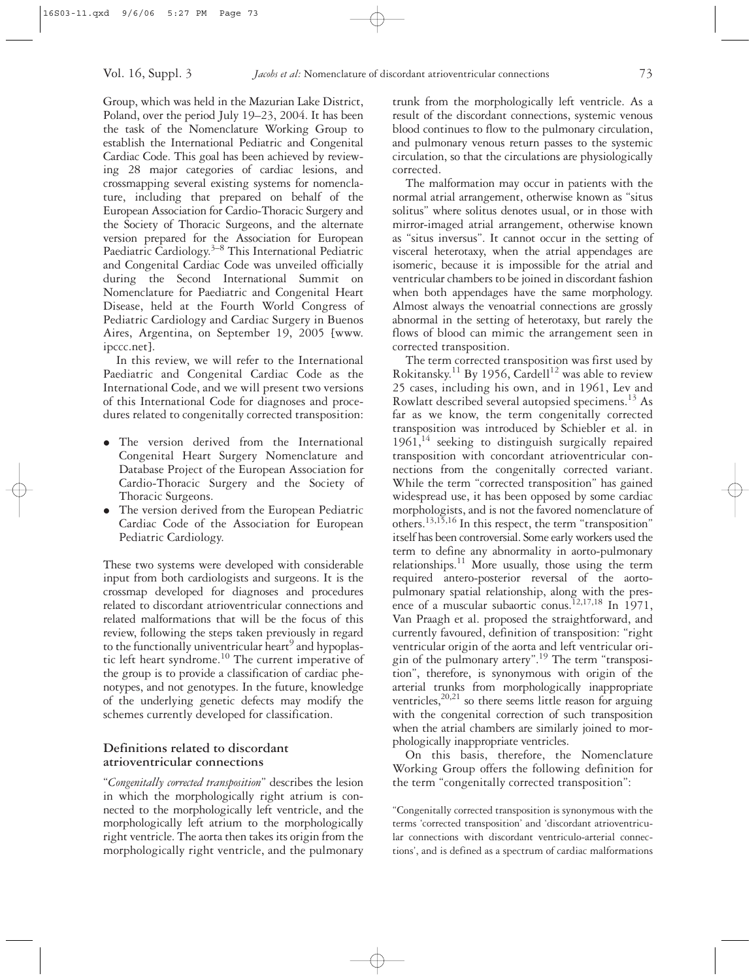Group, which was held in the Mazurian Lake District, Poland, over the period July 19–23, 2004. It has been the task of the Nomenclature Working Group to establish the International Pediatric and Congenital Cardiac Code. This goal has been achieved by reviewing 28 major categories of cardiac lesions, and crossmapping several existing systems for nomenclature, including that prepared on behalf of the European Association for Cardio-Thoracic Surgery and the Society of Thoracic Surgeons, and the alternate version prepared for the Association for European Paediatric Cardiology. $3-8$  This International Pediatric and Congenital Cardiac Code was unveiled officially during the Second International Summit on Nomenclature for Paediatric and Congenital Heart Disease, held at the Fourth World Congress of Pediatric Cardiology and Cardiac Surgery in Buenos Aires, Argentina, on September 19, 2005 [www. ipccc.net].

In this review, we will refer to the International Paediatric and Congenital Cardiac Code as the International Code, and we will present two versions of this International Code for diagnoses and procedures related to congenitally corrected transposition:

- The version derived from the International Congenital Heart Surgery Nomenclature and Database Project of the European Association for Cardio-Thoracic Surgery and the Society of Thoracic Surgeons.
- The version derived from the European Pediatric Cardiac Code of the Association for European Pediatric Cardiology.

These two systems were developed with considerable input from both cardiologists and surgeons. It is the crossmap developed for diagnoses and procedures related to discordant atrioventricular connections and related malformations that will be the focus of this review, following the steps taken previously in regard to the functionally univentricular heart<sup>9</sup> and hypoplastic left heart syndrome. $10$  The current imperative of the group is to provide a classification of cardiac phenotypes, and not genotypes. In the future, knowledge of the underlying genetic defects may modify the schemes currently developed for classification.

## **Definitions related to discordant atrioventricular connections**

"*Congenitally corrected transposition*" describes the lesion in which the morphologically right atrium is connected to the morphologically left ventricle, and the morphologically left atrium to the morphologically right ventricle. The aorta then takes its origin from the morphologically right ventricle, and the pulmonary trunk from the morphologically left ventricle. As a result of the discordant connections, systemic venous blood continues to flow to the pulmonary circulation, and pulmonary venous return passes to the systemic circulation, so that the circulations are physiologically corrected.

The malformation may occur in patients with the normal atrial arrangement, otherwise known as "situs solitus" where solitus denotes usual, or in those with mirror-imaged atrial arrangement, otherwise known as "situs inversus". It cannot occur in the setting of visceral heterotaxy, when the atrial appendages are isomeric, because it is impossible for the atrial and ventricular chambers to be joined in discordant fashion when both appendages have the same morphology. Almost always the venoatrial connections are grossly abnormal in the setting of heterotaxy, but rarely the flows of blood can mimic the arrangement seen in corrected transposition.

The term corrected transposition was first used by Rokitansky.<sup>11</sup> By 1956, Cardell<sup>12</sup> was able to review 25 cases, including his own, and in 1961, Lev and Rowlatt described several autopsied specimens.<sup>13</sup> As far as we know, the term congenitally corrected transposition was introduced by Schiebler et al. in  $1961$ ,<sup>14</sup> seeking to distinguish surgically repaired transposition with concordant atrioventricular connections from the congenitally corrected variant. While the term "corrected transposition" has gained widespread use, it has been opposed by some cardiac morphologists, and is not the favored nomenclature of others.<sup>13,15,16</sup> In this respect, the term "transposition" itself has been controversial. Some early workers used the term to define any abnormality in aorto-pulmonary relationships.<sup>11</sup> More usually, those using the term required antero-posterior reversal of the aortopulmonary spatial relationship, along with the presence of a muscular subaortic conus.<sup>12,17,18</sup> In 1971, Van Praagh et al. proposed the straightforward, and currently favoured, definition of transposition: "right ventricular origin of the aorta and left ventricular origin of the pulmonary artery".<sup>19</sup> The term "transposition", therefore, is synonymous with origin of the arterial trunks from morphologically inappropriate ventricles, $20,21$  so there seems little reason for arguing with the congenital correction of such transposition when the atrial chambers are similarly joined to morphologically inappropriate ventricles.

On this basis, therefore, the Nomenclature Working Group offers the following definition for the term "congenitally corrected transposition":

"Congenitally corrected transposition is synonymous with the terms 'corrected transposition' and 'discordant atrioventricular connections with discordant ventriculo-arterial connections', and is defined as a spectrum of cardiac malformations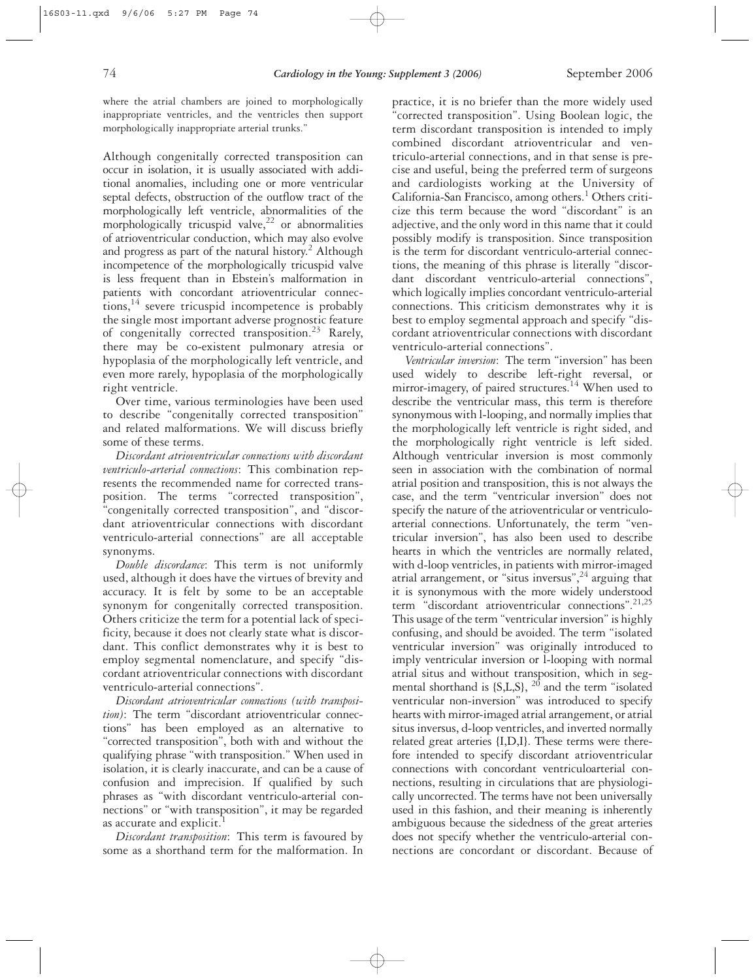where the atrial chambers are joined to morphologically inappropriate ventricles, and the ventricles then support morphologically inappropriate arterial trunks."

Although congenitally corrected transposition can occur in isolation, it is usually associated with additional anomalies, including one or more ventricular septal defects, obstruction of the outflow tract of the morphologically left ventricle, abnormalities of the morphologically tricuspid valve, $22$  or abnormalities of atrioventricular conduction, which may also evolve and progress as part of the natural history.<sup>2</sup> Although incompetence of the morphologically tricuspid valve is less frequent than in Ebstein's malformation in patients with concordant atrioventricular connections,<sup>14</sup> severe tricuspid incompetence is probably the single most important adverse prognostic feature of congenitally corrected transposition.<sup>23</sup> Rarely, there may be co-existent pulmonary atresia or hypoplasia of the morphologically left ventricle, and even more rarely, hypoplasia of the morphologically right ventricle.

Over time, various terminologies have been used to describe "congenitally corrected transposition" and related malformations. We will discuss briefly some of these terms.

*Discordant atrioventricular connections with discordant ventriculo-arterial connections*: This combination represents the recommended name for corrected transposition. The terms "corrected transposition", "congenitally corrected transposition", and "discordant atrioventricular connections with discordant ventriculo-arterial connections" are all acceptable synonyms.

*Double discordance*: This term is not uniformly used, although it does have the virtues of brevity and accuracy. It is felt by some to be an acceptable synonym for congenitally corrected transposition. Others criticize the term for a potential lack of specificity, because it does not clearly state what is discordant. This conflict demonstrates why it is best to employ segmental nomenclature, and specify "discordant atrioventricular connections with discordant ventriculo-arterial connections".

*Discordant atrioventricular connections (with transposition)*: The term "discordant atrioventricular connections" has been employed as an alternative to "corrected transposition", both with and without the qualifying phrase "with transposition." When used in isolation, it is clearly inaccurate, and can be a cause of confusion and imprecision. If qualified by such phrases as "with discordant ventriculo-arterial connections" or "with transposition", it may be regarded as accurate and explicit.<sup>1</sup>

*Discordant transposition*: This term is favoured by some as a shorthand term for the malformation. In practice, it is no briefer than the more widely used "corrected transposition". Using Boolean logic, the term discordant transposition is intended to imply combined discordant atrioventricular and ventriculo-arterial connections, and in that sense is precise and useful, being the preferred term of surgeons and cardiologists working at the University of California-San Francisco, among others.<sup>1</sup> Others criticize this term because the word "discordant" is an adjective, and the only word in this name that it could possibly modify is transposition. Since transposition is the term for discordant ventriculo-arterial connections, the meaning of this phrase is literally "discordant discordant ventriculo-arterial connections", which logically implies concordant ventriculo-arterial connections. This criticism demonstrates why it is best to employ segmental approach and specify "discordant atrioventricular connections with discordant ventriculo-arterial connections".

*Ventricular inversion*: The term "inversion" has been used widely to describe left-right reversal, or mirror-imagery, of paired structures.<sup>14</sup> When used to describe the ventricular mass, this term is therefore synonymous with l-looping, and normally implies that the morphologically left ventricle is right sided, and the morphologically right ventricle is left sided. Although ventricular inversion is most commonly seen in association with the combination of normal atrial position and transposition, this is not always the case, and the term "ventricular inversion" does not specify the nature of the atrioventricular or ventriculoarterial connections. Unfortunately, the term "ventricular inversion", has also been used to describe hearts in which the ventricles are normally related, with d-loop ventricles, in patients with mirror-imaged atrial arrangement, or "situs inversus", $^{24}$  arguing that it is synonymous with the more widely understood term "discordant atrioventricular connections".<sup>21,25</sup> This usage of the term "ventricular inversion" is highly confusing, and should be avoided. The term "isolated ventricular inversion" was originally introduced to imply ventricular inversion or l-looping with normal atrial situs and without transposition, which in segmental shorthand is  $\{S,L,S\}$ ,  $^{20}$  and the term "isolated ventricular non-inversion" was introduced to specify hearts with mirror-imaged atrial arrangement, or atrial situs inversus, d-loop ventricles, and inverted normally related great arteries {I,D,I}. These terms were therefore intended to specify discordant atrioventricular connections with concordant ventriculoarterial connections, resulting in circulations that are physiologically uncorrected. The terms have not been universally used in this fashion, and their meaning is inherently ambiguous because the sidedness of the great arteries does not specify whether the ventriculo-arterial connections are concordant or discordant. Because of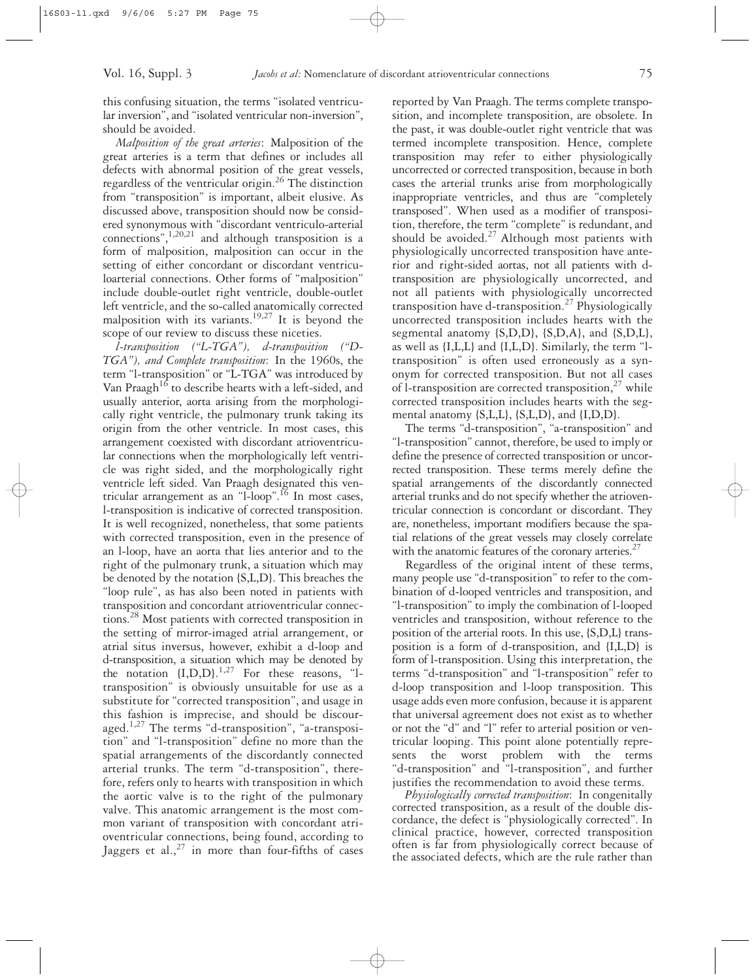this confusing situation, the terms "isolated ventricular inversion", and "isolated ventricular non-inversion", should be avoided.

*Malposition of the great arteries*: Malposition of the great arteries is a term that defines or includes all defects with abnormal position of the great vessels, regardless of the ventricular origin.<sup>26</sup> The distinction from "transposition" is important, albeit elusive. As discussed above, transposition should now be considered synonymous with "discordant ventriculo-arterial connections", $^{1,20,21}$  and although transposition is a form of malposition, malposition can occur in the setting of either concordant or discordant ventriculoarterial connections. Other forms of "malposition" include double-outlet right ventricle, double-outlet left ventricle, and the so-called anatomically corrected malposition with its variants.<sup>19,27</sup> It is beyond the scope of our review to discuss these niceties.

*l-transposition ("L-TGA"), d-transposition ("D-TGA"), and Complete transposition*: In the 1960s, the term "l-transposition" or "L-TGA" was introduced by Van Praagh<sup>16</sup> to describe hearts with a left-sided, and usually anterior, aorta arising from the morphologically right ventricle, the pulmonary trunk taking its origin from the other ventricle. In most cases, this arrangement coexisted with discordant atrioventricular connections when the morphologically left ventricle was right sided, and the morphologically right ventricle left sided. Van Praagh designated this ventricular arrangement as an "l-loop".16 In most cases, l-transposition is indicative of corrected transposition. It is well recognized, nonetheless, that some patients with corrected transposition, even in the presence of an l-loop, have an aorta that lies anterior and to the right of the pulmonary trunk, a situation which may be denoted by the notation {S,L,D}. This breaches the "loop rule", as has also been noted in patients with transposition and concordant atrioventricular connections.28 Most patients with corrected transposition in the setting of mirror-imaged atrial arrangement, or atrial situs inversus, however, exhibit a d-loop and d-transposition, a situation which may be denoted by the notation  ${I,D,D}$ ,  $^{1,27}$  For these reasons, "ltransposition" is obviously unsuitable for use as a substitute for "corrected transposition", and usage in this fashion is imprecise, and should be discouraged.<sup>1,27</sup> The terms "d-transposition", "a-transposition" and "l-transposition" define no more than the spatial arrangements of the discordantly connected arterial trunks. The term "d-transposition", therefore, refers only to hearts with transposition in which the aortic valve is to the right of the pulmonary valve. This anatomic arrangement is the most common variant of transposition with concordant atrioventricular connections, being found, according to Jaggers et al., $^{27}$  in more than four-fifths of cases

reported by Van Praagh. The terms complete transposition, and incomplete transposition, are obsolete. In the past, it was double-outlet right ventricle that was termed incomplete transposition. Hence, complete transposition may refer to either physiologically uncorrected or corrected transposition, because in both cases the arterial trunks arise from morphologically inappropriate ventricles, and thus are "completely transposed". When used as a modifier of transposition, therefore, the term "complete" is redundant, and should be avoided.<sup>27</sup> Although most patients with physiologically uncorrected transposition have anterior and right-sided aortas, not all patients with dtransposition are physiologically uncorrected, and not all patients with physiologically uncorrected transposition have d-transposition.27 Physiologically uncorrected transposition includes hearts with the segmental anatomy {S,D,D}, {S,D,A}, and {S,D,L}, as well as {I,L,L} and {I,L,D}. Similarly, the term "ltransposition" is often used erroneously as a synonym for corrected transposition. But not all cases of l-transposition are corrected transposition, $^{27}$  while corrected transposition includes hearts with the segmental anatomy {S,L,L}, {S,L,D}, and {I,D,D}.

The terms "d-transposition", "a-transposition" and "l-transposition" cannot, therefore, be used to imply or define the presence of corrected transposition or uncorrected transposition. These terms merely define the spatial arrangements of the discordantly connected arterial trunks and do not specify whether the atrioventricular connection is concordant or discordant. They are, nonetheless, important modifiers because the spatial relations of the great vessels may closely correlate with the anatomic features of the coronary arteries.<sup>27</sup>

Regardless of the original intent of these terms, many people use "d-transposition" to refer to the combination of d-looped ventricles and transposition, and "l-transposition" to imply the combination of l-looped ventricles and transposition, without reference to the position of the arterial roots. In this use, {S,D,L} transposition is a form of d-transposition, and {I,L,D} is form of l-transposition. Using this interpretation, the terms "d-transposition" and "l-transposition" refer to d-loop transposition and l-loop transposition. This usage adds even more confusion, because it is apparent that universal agreement does not exist as to whether or not the "d" and "l" refer to arterial position or ventricular looping. This point alone potentially represents the worst problem with the terms "d-transposition" and "l-transposition", and further justifies the recommendation to avoid these terms.

*Physiologically corrected transposition*: In congenitally corrected transposition, as a result of the double discordance, the defect is "physiologically corrected". In clinical practice, however, corrected transposition often is far from physiologically correct because of the associated defects, which are the rule rather than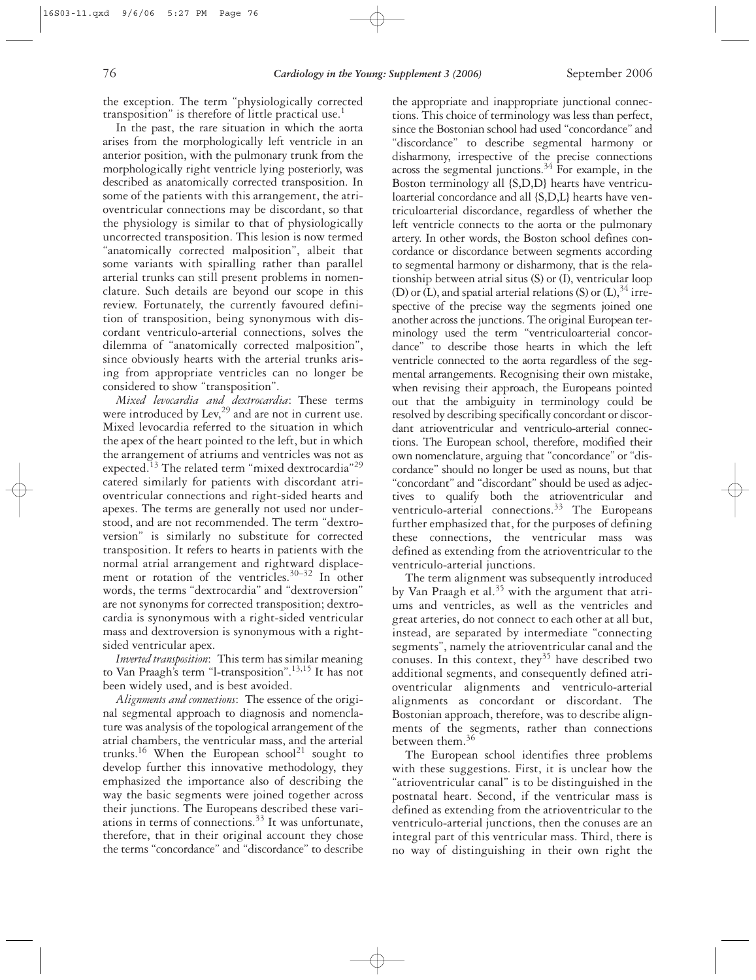the exception. The term "physiologically corrected transposition" is therefore of little practical use.1

In the past, the rare situation in which the aorta arises from the morphologically left ventricle in an anterior position, with the pulmonary trunk from the morphologically right ventricle lying posteriorly, was described as anatomically corrected transposition. In some of the patients with this arrangement, the atrioventricular connections may be discordant, so that the physiology is similar to that of physiologically uncorrected transposition. This lesion is now termed "anatomically corrected malposition", albeit that some variants with spiralling rather than parallel arterial trunks can still present problems in nomenclature. Such details are beyond our scope in this review. Fortunately, the currently favoured definition of transposition, being synonymous with discordant ventriculo-arterial connections, solves the dilemma of "anatomically corrected malposition", since obviously hearts with the arterial trunks arising from appropriate ventricles can no longer be considered to show "transposition".

*Mixed levocardia and dextrocardia*: These terms were introduced by Lev, $^{29}$  and are not in current use. Mixed levocardia referred to the situation in which the apex of the heart pointed to the left, but in which the arrangement of atriums and ventricles was not as expected.<sup>13</sup> The related term "mixed dextrocardia"<sup>29</sup> catered similarly for patients with discordant atrioventricular connections and right-sided hearts and apexes. The terms are generally not used nor understood, and are not recommended. The term "dextroversion" is similarly no substitute for corrected transposition. It refers to hearts in patients with the normal atrial arrangement and rightward displacement or rotation of the ventricles.<sup>30-32</sup> In other words, the terms "dextrocardia" and "dextroversion" are not synonyms for corrected transposition; dextrocardia is synonymous with a right-sided ventricular mass and dextroversion is synonymous with a rightsided ventricular apex.

*Inverted transposition*: This term has similar meaning to Van Praagh's term "l-transposition".<sup>13,15</sup> It has not been widely used, and is best avoided.

*Alignments and connections*: The essence of the original segmental approach to diagnosis and nomenclature was analysis of the topological arrangement of the atrial chambers, the ventricular mass, and the arterial trunks.<sup>16</sup> When the European school<sup>21</sup> sought to develop further this innovative methodology, they emphasized the importance also of describing the way the basic segments were joined together across their junctions. The Europeans described these variations in terms of connections. $33$  It was unfortunate, therefore, that in their original account they chose the terms "concordance" and "discordance" to describe the appropriate and inappropriate junctional connections. This choice of terminology was less than perfect, since the Bostonian school had used "concordance" and "discordance" to describe segmental harmony or disharmony, irrespective of the precise connections across the segmental junctions. $34$  For example, in the Boston terminology all {S,D,D} hearts have ventriculoarterial concordance and all {S,D,L} hearts have ventriculoarterial discordance, regardless of whether the left ventricle connects to the aorta or the pulmonary artery. In other words, the Boston school defines concordance or discordance between segments according to segmental harmony or disharmony, that is the relationship between atrial situs (S) or (I), ventricular loop (D) or (L), and spatial arterial relations (S) or (L),  $34$  irrespective of the precise way the segments joined one another across the junctions. The original European terminology used the term "ventriculoarterial concordance" to describe those hearts in which the left ventricle connected to the aorta regardless of the segmental arrangements. Recognising their own mistake, when revising their approach, the Europeans pointed out that the ambiguity in terminology could be resolved by describing specifically concordant or discordant atrioventricular and ventriculo-arterial connections. The European school, therefore, modified their own nomenclature, arguing that "concordance" or "discordance" should no longer be used as nouns, but that "concordant" and "discordant" should be used as adjectives to qualify both the atrioventricular and ventriculo-arterial connections.<sup>33</sup> The Europeans further emphasized that, for the purposes of defining these connections, the ventricular mass was defined as extending from the atrioventricular to the ventriculo-arterial junctions.

The term alignment was subsequently introduced by Van Praagh et al.<sup>35</sup> with the argument that atriums and ventricles, as well as the ventricles and great arteries, do not connect to each other at all but, instead, are separated by intermediate "connecting segments", namely the atrioventricular canal and the conuses. In this context, they<sup>35</sup> have described two additional segments, and consequently defined atrioventricular alignments and ventriculo-arterial alignments as concordant or discordant. The Bostonian approach, therefore, was to describe alignments of the segments, rather than connections between them.<sup>36</sup>

The European school identifies three problems with these suggestions. First, it is unclear how the "atrioventricular canal" is to be distinguished in the postnatal heart. Second, if the ventricular mass is defined as extending from the atrioventricular to the ventriculo-arterial junctions, then the conuses are an integral part of this ventricular mass. Third, there is no way of distinguishing in their own right the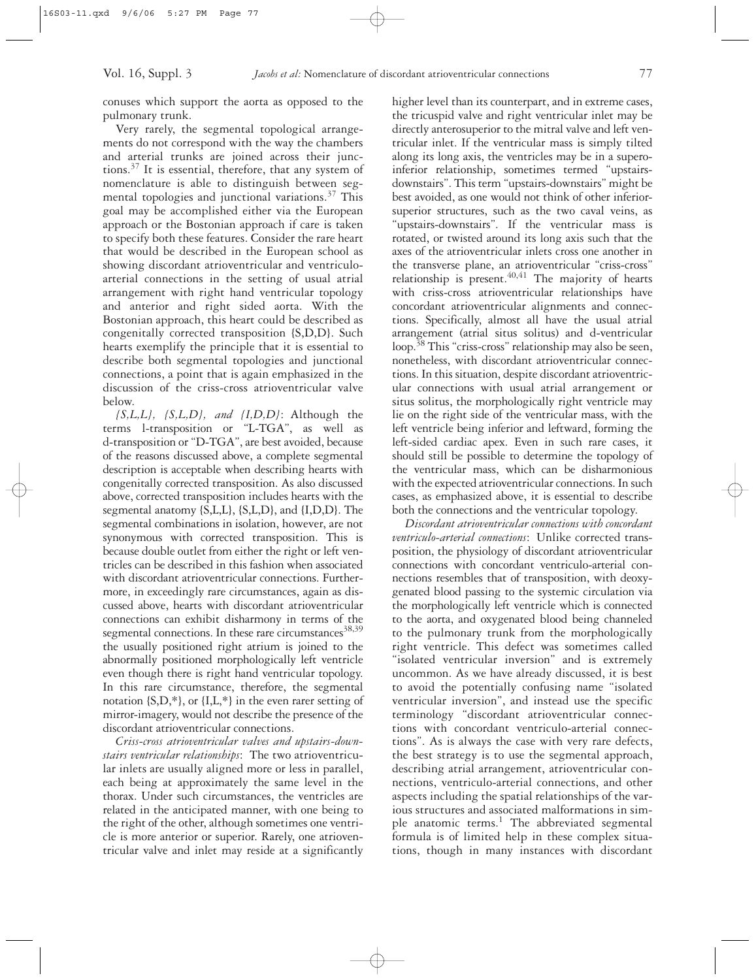conuses which support the aorta as opposed to the pulmonary trunk.

Very rarely, the segmental topological arrangements do not correspond with the way the chambers and arterial trunks are joined across their junctions.<sup>37</sup> It is essential, therefore, that any system of nomenclature is able to distinguish between segmental topologies and junctional variations. $37$  This goal may be accomplished either via the European approach or the Bostonian approach if care is taken to specify both these features. Consider the rare heart that would be described in the European school as showing discordant atrioventricular and ventriculoarterial connections in the setting of usual atrial arrangement with right hand ventricular topology and anterior and right sided aorta. With the Bostonian approach, this heart could be described as congenitally corrected transposition {S,D,D}. Such hearts exemplify the principle that it is essential to describe both segmental topologies and junctional connections, a point that is again emphasized in the discussion of the criss-cross atrioventricular valve below.

*{S,L,L}, {S,L,D}, and {I,D,D}*: Although the terms l-transposition or "L-TGA", as well as d-transposition or "D-TGA", are best avoided, because of the reasons discussed above, a complete segmental description is acceptable when describing hearts with congenitally corrected transposition. As also discussed above, corrected transposition includes hearts with the segmental anatomy {S,L,L}, {S,L,D}, and {I,D,D}. The segmental combinations in isolation, however, are not synonymous with corrected transposition. This is because double outlet from either the right or left ventricles can be described in this fashion when associated with discordant atrioventricular connections. Furthermore, in exceedingly rare circumstances, again as discussed above, hearts with discordant atrioventricular connections can exhibit disharmony in terms of the segmental connections. In these rare circumstances $38,39$ the usually positioned right atrium is joined to the abnormally positioned morphologically left ventricle even though there is right hand ventricular topology. In this rare circumstance, therefore, the segmental notation  $\{S, D, *\}$ , or  $\{I, L, *\}$  in the even rarer setting of mirror-imagery, would not describe the presence of the discordant atrioventricular connections.

*Criss-cross atrioventricular valves and upstairs-downstairs ventricular relationships*: The two atrioventricular inlets are usually aligned more or less in parallel, each being at approximately the same level in the thorax. Under such circumstances, the ventricles are related in the anticipated manner, with one being to the right of the other, although sometimes one ventricle is more anterior or superior. Rarely, one atrioventricular valve and inlet may reside at a significantly higher level than its counterpart, and in extreme cases, the tricuspid valve and right ventricular inlet may be directly anterosuperior to the mitral valve and left ventricular inlet. If the ventricular mass is simply tilted along its long axis, the ventricles may be in a superoinferior relationship, sometimes termed "upstairsdownstairs". This term "upstairs-downstairs" might be best avoided, as one would not think of other inferiorsuperior structures, such as the two caval veins, as "upstairs-downstairs". If the ventricular mass is rotated, or twisted around its long axis such that the axes of the atrioventricular inlets cross one another in the transverse plane, an atrioventricular "criss-cross" relationship is present. $40,41$  The majority of hearts with criss-cross atrioventricular relationships have concordant atrioventricular alignments and connections. Specifically, almost all have the usual atrial arrangement (atrial situs solitus) and d-ventricular loop.38 This "criss-cross" relationship may also be seen, nonetheless, with discordant atrioventricular connections. In this situation, despite discordant atrioventricular connections with usual atrial arrangement or situs solitus, the morphologically right ventricle may lie on the right side of the ventricular mass, with the left ventricle being inferior and leftward, forming the left-sided cardiac apex. Even in such rare cases, it should still be possible to determine the topology of the ventricular mass, which can be disharmonious with the expected atrioventricular connections. In such cases, as emphasized above, it is essential to describe both the connections and the ventricular topology.

*Discordant atrioventricular connections with concordant ventriculo-arterial connections*: Unlike corrected transposition, the physiology of discordant atrioventricular connections with concordant ventriculo-arterial connections resembles that of transposition, with deoxygenated blood passing to the systemic circulation via the morphologically left ventricle which is connected to the aorta, and oxygenated blood being channeled to the pulmonary trunk from the morphologically right ventricle. This defect was sometimes called "isolated ventricular inversion" and is extremely uncommon. As we have already discussed, it is best to avoid the potentially confusing name "isolated ventricular inversion", and instead use the specific terminology "discordant atrioventricular connections with concordant ventriculo-arterial connections". As is always the case with very rare defects, the best strategy is to use the segmental approach, describing atrial arrangement, atrioventricular connections, ventriculo-arterial connections, and other aspects including the spatial relationships of the various structures and associated malformations in simple anatomic terms.<sup>1</sup> The abbreviated segmental formula is of limited help in these complex situations, though in many instances with discordant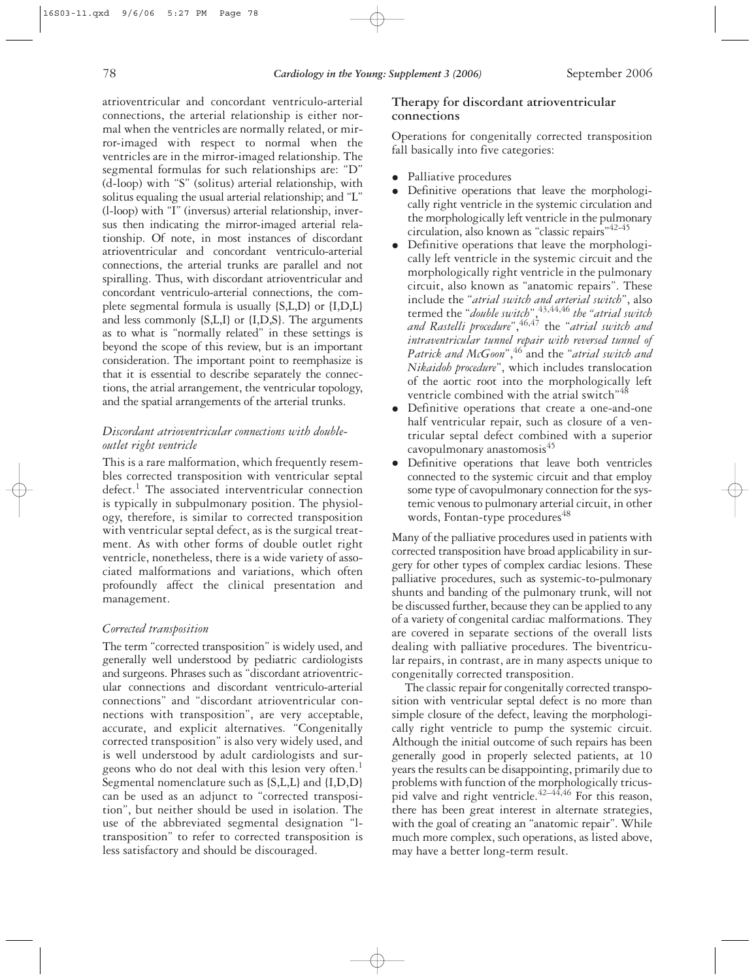atrioventricular and concordant ventriculo-arterial connections, the arterial relationship is either normal when the ventricles are normally related, or mirror-imaged with respect to normal when the ventricles are in the mirror-imaged relationship. The segmental formulas for such relationships are: "D" (d-loop) with "S" (solitus) arterial relationship, with solitus equaling the usual arterial relationship; and "L" (l-loop) with "I" (inversus) arterial relationship, inversus then indicating the mirror-imaged arterial relationship. Of note, in most instances of discordant atrioventricular and concordant ventriculo-arterial connections, the arterial trunks are parallel and not spiralling. Thus, with discordant atrioventricular and concordant ventriculo-arterial connections, the complete segmental formula is usually {S,L,D} or {I,D,L} and less commonly {S,L,I} or {I,D,S}. The arguments as to what is "normally related" in these settings is beyond the scope of this review, but is an important consideration. The important point to reemphasize is that it is essential to describe separately the connections, the atrial arrangement, the ventricular topology, and the spatial arrangements of the arterial trunks.

## *Discordant atrioventricular connections with doubleoutlet right ventricle*

This is a rare malformation, which frequently resembles corrected transposition with ventricular septal defect.<sup>1</sup> The associated interventricular connection is typically in subpulmonary position. The physiology, therefore, is similar to corrected transposition with ventricular septal defect, as is the surgical treatment. As with other forms of double outlet right ventricle, nonetheless, there is a wide variety of associated malformations and variations, which often profoundly affect the clinical presentation and management.

#### *Corrected transposition*

The term "corrected transposition" is widely used, and generally well understood by pediatric cardiologists and surgeons. Phrases such as "discordant atrioventricular connections and discordant ventriculo-arterial connections" and "discordant atrioventricular connections with transposition", are very acceptable, accurate, and explicit alternatives. "Congenitally corrected transposition" is also very widely used, and is well understood by adult cardiologists and surgeons who do not deal with this lesion very often.<sup>1</sup> Segmental nomenclature such as {S,L,L} and {I,D,D} can be used as an adjunct to "corrected transposition", but neither should be used in isolation. The use of the abbreviated segmental designation "ltransposition" to refer to corrected transposition is less satisfactory and should be discouraged.

#### **Therapy for discordant atrioventricular connections**

Operations for congenitally corrected transposition fall basically into five categories:

- Palliative procedures
- Definitive operations that leave the morphologically right ventricle in the systemic circulation and the morphologically left ventricle in the pulmonary circulation, also known as "classic repairs"42-45
- Definitive operations that leave the morphologically left ventricle in the systemic circuit and the morphologically right ventricle in the pulmonary circuit, also known as "anatomic repairs". These include the "*atrial switch and arterial switch*", also termed the "*double switch*",<sup>43,44,46</sup> *the "atrial switch*" *and Rastelli procedure*",46,47 the "*atrial switch and intraventricular tunnel repair with reversed tunnel of Patrick and McGoon*",46 and the "*atrial switch and Nikaidoh procedure*", which includes translocation of the aortic root into the morphologically left ventricle combined with the atrial switch"48
- Definitive operations that create a one-and-one half ventricular repair, such as closure of a ventricular septal defect combined with a superior cavopulmonary anastomosis<sup>45</sup>
- Definitive operations that leave both ventricles connected to the systemic circuit and that employ some type of cavopulmonary connection for the systemic venous to pulmonary arterial circuit, in other words, Fontan-type procedures<sup>48</sup>

Many of the palliative procedures used in patients with corrected transposition have broad applicability in surgery for other types of complex cardiac lesions. These palliative procedures, such as systemic-to-pulmonary shunts and banding of the pulmonary trunk, will not be discussed further, because they can be applied to any of a variety of congenital cardiac malformations. They are covered in separate sections of the overall lists dealing with palliative procedures. The biventricular repairs, in contrast, are in many aspects unique to congenitally corrected transposition.

The classic repair for congenitally corrected transposition with ventricular septal defect is no more than simple closure of the defect, leaving the morphologically right ventricle to pump the systemic circuit. Although the initial outcome of such repairs has been generally good in properly selected patients, at 10 years the results can be disappointing, primarily due to problems with function of the morphologically tricuspid valve and right ventricle.42–44,46 For this reason, there has been great interest in alternate strategies, with the goal of creating an "anatomic repair". While much more complex, such operations, as listed above, may have a better long-term result.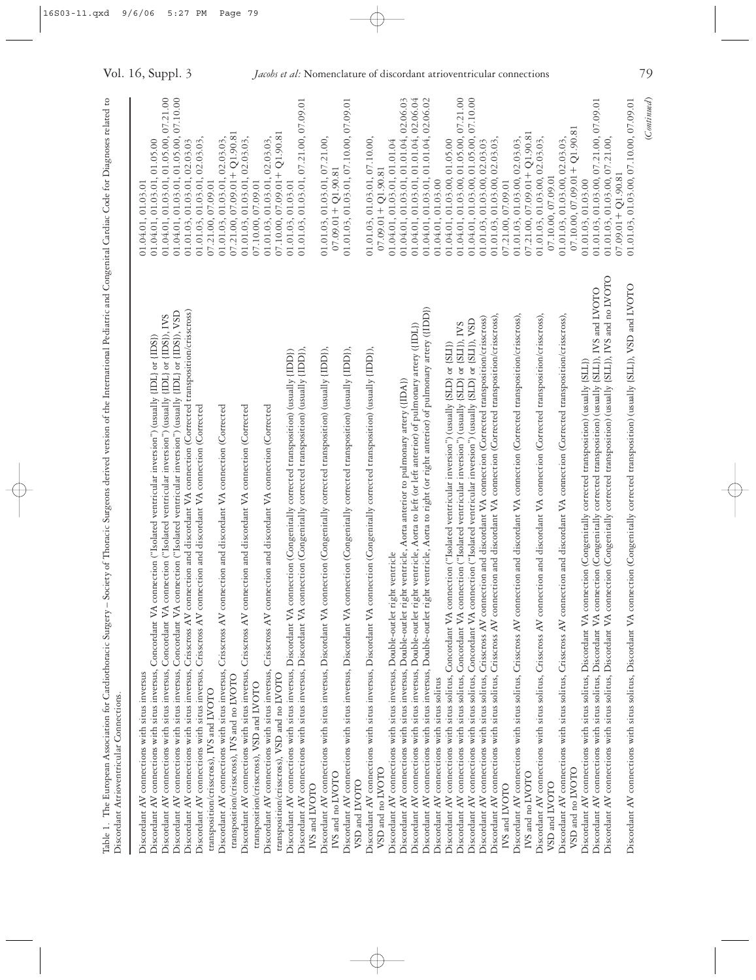| Discordant Atrioventricular Connections.                                                                                                                                                                                                                                        |                                                                        |
|---------------------------------------------------------------------------------------------------------------------------------------------------------------------------------------------------------------------------------------------------------------------------------|------------------------------------------------------------------------|
| Discordant AV connections with situs inversus                                                                                                                                                                                                                                   | 01.04.01, 01.03.01                                                     |
| Discordant AV connections with situs inversus, Concordant VA connection ("Isolated ventricular inversion") (usually {IDL} or {IDS}), IVS<br>Discordant AV connections with situs inversus, Concordant VA connection ("Isolated ventricular inversion") (usually {IDL} or {IDS}) | 01.04.01, 01.03.01, 01.05.00, 07.21.00<br>01.04.01, 01.03.01, 01.05.00 |
| Discordant AV connections with situs inversus, Concordant VA connection ("Isolated ventricular inversion") (usually {IDL} or {IDS}), VSD                                                                                                                                        | 01.04.01, 01.03.01, 01.05.00, 07.10.00                                 |
| Discordant AV connections with situs inversus, Crisscross AV connection and discordant VA connection (Corrected transposition/crisscross)                                                                                                                                       | 01.01.03, 01.03.01, 02.03.03                                           |
| Discordant AV connections with situs inversus, Crisscross AV connection and discordant VA connection (Corrected                                                                                                                                                                 | 01.01.03, 01.03.01, 02.03.03                                           |
| transposition/crisscross), IVS and LVOTO                                                                                                                                                                                                                                        | 07.21.00, 07.09.01                                                     |
| Discordant AV connections with situs inversus, Crisscross AV connection and discordant VA connection (Corrected                                                                                                                                                                 | 01.01.03, 01.03.01, 02.03.03,                                          |
| Discordant AV connections with situs inversus, Crisscross AV connection and discordant VA connection (Corrected<br>transposition/crisscross), IVS and no LVOTO                                                                                                                  | $07.21.00, 07.09.01 + Q1.90.81$<br>01.01.03, 01.03.01, 02.03.03,       |
| transposition/crisscross), VSD and LVOTO                                                                                                                                                                                                                                        | 07.10.00, 07.09.01                                                     |
| Discordant AV connections with situs inversus, Crisscross AV connection and discordant VA connection (Corrected                                                                                                                                                                 | 01.01.03, 01.03.01, 02.03.03,                                          |
| transposition/crisscross), VSD and no LVOTO                                                                                                                                                                                                                                     | $07.10.00, 07.09.01 + Q1.90.81$                                        |
| connection (Congenitally corrected transposition) (usually {IDD})<br>Discordant AV connections with situs inversus, Discordant VA                                                                                                                                               | 01.01.03, 01.03.01                                                     |
| connection (Congenitally corrected transposition) (usually (IDD)),<br>Discordant AV connections with situs inversus, Discordant VA<br>IVS and LVOTO                                                                                                                             | 01.01.03, 01.03.01, 07.21.00, 07.09.01                                 |
| connection (Congenitally corrected transposition) (usually {IDD}),<br>Discordant AV connections with situs inversus, Discordant VA                                                                                                                                              | 01.01.03, 01.03.01, 07.21.00,                                          |
| IVS and no LVOTO                                                                                                                                                                                                                                                                | $07.09.01 + Q1.90.81$                                                  |
| connection (Congenitally corrected transposition) (usually {IDD}),<br>Discordant AV connections with situs inversus, Discordant VA                                                                                                                                              | 01.01.03, 01.03.01, 07.10.00, 07.09.01                                 |
| VSD and LVOTO                                                                                                                                                                                                                                                                   |                                                                        |
| connection (Congenitally corrected transposition) (usually {IDD}),<br>Discordant AV connections with situs inversus, Discordant VA                                                                                                                                              | 01.01.03, 01.03.01, 07.10.00,                                          |
| VSD and no LVOTO                                                                                                                                                                                                                                                                | $07.09.01 + Q1.90.81$                                                  |
| right ventricle<br>Discordant AV connections with situs inversus, Double-outlet                                                                                                                                                                                                 | 01.04.01, 01.03.01, 01.01.04                                           |
| right ventricle, Aorta anterior to pulmonary artery ({IDA})<br>Discordant AV connections with situs inversus, Double-outlet                                                                                                                                                     | 01.04.01, 01.03.01, 01.01.04, 02.06.03                                 |
| right ventricle, Aorta to left (or left anterior) of pulmonary artery ({IDL})<br>Discordant AV connections with situs inversus, Double-outlet                                                                                                                                   | 01.04.01, 01.03.01, 01.01.04, 02.06.04                                 |
| right ventricle, Aorta to right (or right anterior) of pulmonary artery ((IDD))<br>Discordant AV connections with situs inversus, Double-outlet                                                                                                                                 | 01.04.01, 01.03.01, 01.01.04, 02.06.02                                 |
| Discordant AV connections with situs solitus                                                                                                                                                                                                                                    | 01.04.01, 01.03.00                                                     |
| Discordant AV connections with situs solitus, Concordant VA connection ("Isolated ventricular inversion") (usually {SLD} or {SLI})                                                                                                                                              | 01.04.01, 01.03.00, 01.05.00                                           |
| Discordant AV connections with situs solitus, Concordant VA connection ("Isolated ventricular inversion") (usually {SLD} or {SLI}), IVS                                                                                                                                         | 01.04.01, 01.03.00, 01.05.00, 07.21.00                                 |
| Discordant AV connections with situs solitus, Concordant VA connection ("Isolated ventricular inversion") (usually {SLD} or {SLI}), VSD                                                                                                                                         | $01.04.01, 01.03.00, 01.05.00, 07.10.00$                               |
| Discordant AV connections with situs solitus, Crisscross AV connection and discordant VA connection (Corrected transposition/crisscross)                                                                                                                                        | 01.01.03, 01.03.00, 02.03.03                                           |
| Discordant AV connections with situs solitus, Crisscross AV connection and discordant VA connection (Corrected transposition/crisscross),                                                                                                                                       | 01.01.03, 01.03.00, 02.03.03                                           |
| IVS and LVOTO                                                                                                                                                                                                                                                                   | 07.21.00, 07.09.01                                                     |
| Discordant AV connections with situs solitus, Crisscross AV connection and discordant VA connection (Corrected transposition/crisscross),                                                                                                                                       | 01.01.03, 01.03.00, 02.03.03,                                          |
| IVS and no LVOTO                                                                                                                                                                                                                                                                | $07.21.00, 07.09.01 + Q1.90.81$<br>01.01.03, 01.03.00, 02.03.03,       |
| Discordant AV connections with situs solitus, Crisscross AV connection and discordant VA connection (Corrected transposition/crisscross),<br>VSD and LVOTO                                                                                                                      | 07.10.00, 07.09.01                                                     |
| Discordant AV connections with situs solitus, Crisscross AV connection and discordant VA connection (Corrected transposition/crisscross),                                                                                                                                       | $01.01.03$ , $01.03.00$ , $02.03.03$ ,                                 |
| VSD and no LVOTO                                                                                                                                                                                                                                                                | $07.10.00, 07.09.01 + Q1.90.81$                                        |
| Discordant AV connections with situs solitus, Discordant VA connection (Congenitally corrected transposition) (usually {SLL})                                                                                                                                                   | 01.01.03, 01.03.00                                                     |
| Discordant AV connections with situs solitus, Discordant VA connection (Congenitally corrected transposition) (usually (SLL)), IVS and LVOTO                                                                                                                                    | 01.01.03, 01.03.00, 07.21.00, 07.09.01                                 |
| Discordant AV connections with situs solitus, Discordant VA connection (Congenitally corrected transposition) (usually (SLL)), IVS and no LVOTO                                                                                                                                 | 01.01.03, 01.03.00, 07.21.00,<br>$07.09.01 + Q1.90.81$                 |
| Discordant AV connections with situs solitus, Discordant VA connection (Congenitally corrected transposition) (usually {SLL}), VSD and LVOTO                                                                                                                                    | 01.01.03, 01.03.00, 07.10.00, 07.09.01                                 |
|                                                                                                                                                                                                                                                                                 |                                                                        |

(*Continued*)

 $(Continued)$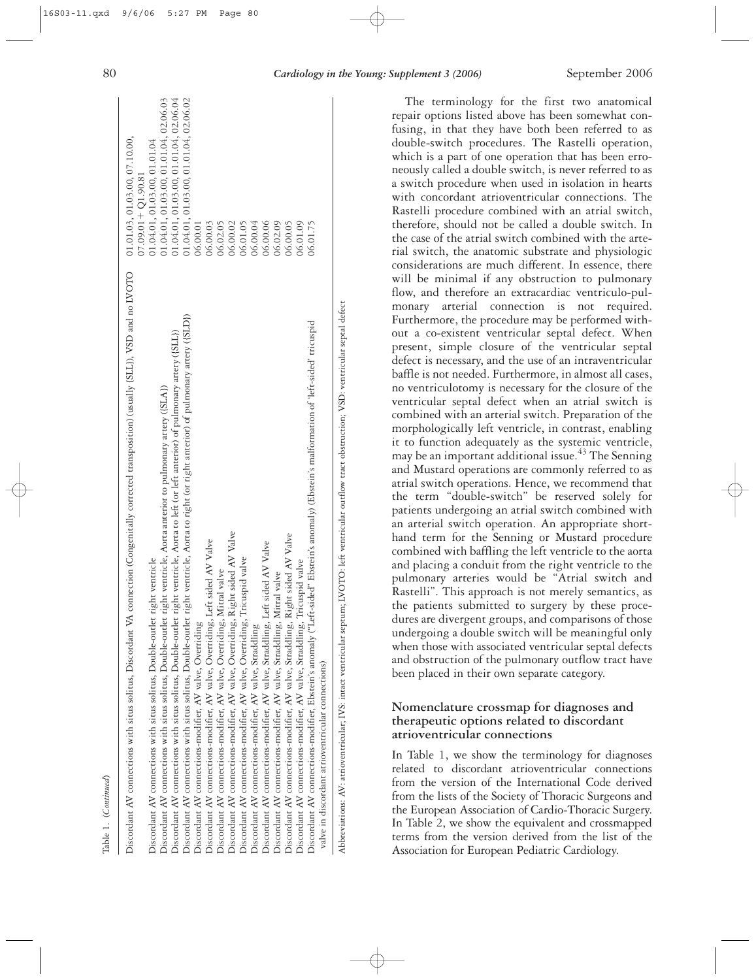| Table 1. (Continued)                                                                                                                                   |                                                        |
|--------------------------------------------------------------------------------------------------------------------------------------------------------|--------------------------------------------------------|
| Discordant AV connections with situs solitus, Discordant VA connection (Congenitally corrected transposition) (usually {SLL}), VSD and no LVOTO        | 01.01.03, 01.03.00, 07.10.00,<br>$07.09.01 + Q1.90.81$ |
| Discordant AV connections with situs solitus, Double-outlet right ventricle                                                                            | 01.04.01, 01.03.00, 01.01.04                           |
| Discordant AV connections with situs solitus, Double-outlet right ventricle, Aorta anterior to pulmonary artery ({SLA})                                | 01.04.01, 01.03.00, 01.01.04, 02.06.03                 |
| Discordant AV connections with situs solitus, Double-outlet right ventricle, Aorta to left (or left anterior) of pulmonary artery ({SLL})              | 01.04.01, 01.03.00, 01.01.04, 02.06.04                 |
| Discordant AV connections with situs solitus, Double-outlet right ventricle, Aorta to right (or right anterior) of pulmonary artery ({SLD})            | 01.04.01, 01.03.00, 01.01.04, 02.06.02                 |
| Discordant AV connections-modifier, AV valve, Overriding                                                                                               | 06.00.01                                               |
| Discordant AV connections-modifier, AV valve, Overriding, Left sided AV Valve                                                                          | 06.00.03                                               |
| Discordant AV connections-modifier, AV valve, Overriding, Mitral valve                                                                                 | 06.02.05                                               |
| Discordant AV connections-modifier, AV valve, Overriding, Right sided AV Valve                                                                         | 06.00.02                                               |
| Discordant AV connections-modifier, AV valve, Overriding, Tricuspid valve                                                                              | 06.01.05                                               |
| Discordant AV connections-modifier, AV valve, Straddling                                                                                               | 06.00.04                                               |
| Discordant AV connections-modifier, AV valve, Straddling, Left sided AV Valve                                                                          | 06.00.06                                               |
| Discordant AV connections-modifier, AV valve, Straddling, Mitral valve                                                                                 | 06.02.09                                               |
| Discordant AV connections-modifier, AV valve, Straddling, Right sided AV Valve                                                                         | 06.00.05                                               |
| Discordant AV connections-modifier, AV valve, Straddling, Tricuspid valve                                                                              | 06.01.09                                               |
| Discordant AV connections-modifier, Ebstein's anomaly ("Left-sided" Ebstein's anomaly) (Ebstein's malformation of 'left-sided' tricuspid               | 06.01.75                                               |
| valve in discordant atrioventricular connections)                                                                                                      |                                                        |
| Abbreviations: AV: atrioventricular; IVS: intact ventricular septum; IVOTO: left ventricular outflow tract obstruction; VSD: ventricular septal defect |                                                        |

80 *Cardiology in the Young: Supplement 3 (2006)* September 2006

The terminology for the first two anatomical repair options listed above has been somewhat confusing, in that they have both been referred to as double-switch procedures. The Rastelli operation, which is a part of one operation that has been erroneously called a double switch, is never referred to as a switch procedure when used in isolation in hearts with concordant atrioventricular connections. The Rastelli procedure combined with an atrial switch, therefore, should not be called a double switch. In the case of the atrial switch combined with the arterial switch, the anatomic substrate and physiologic considerations are much different. In essence, there will be minimal if any obstruction to pulmonary flow, and therefore an extracardiac ventriculo-pulmonary arterial connection is not required. Furthermore, the procedure may be performed without a co-existent ventricular septal defect. When present, simple closure of the ventricular septal defect is necessary, and the use of an intraventricular baffle is not needed. Furthermore, in almost all cases, no ventriculotomy is necessary for the closure of the ventricular septal defect when an atrial switch is combined with an arterial switch. Preparation of the morphologically left ventricle, in contrast, enabling it to function adequately as the systemic ventricle, may be an important additional issue.<sup>43</sup> The Senning and Mustard operations are commonly referred to as atrial switch operations. Hence, we recommend that the term "double-switch" be reserved solely for patients undergoing an atrial switch combined with an arterial switch operation. An appropriate shorthand term for the Senning or Mustard procedure combined with baffling the left ventricle to the aorta and placing a conduit from the right ventricle to the pulmonary arteries would be "Atrial switch and Rastelli". This approach is not merely semantics, as the patients submitted to surgery by these procedures are divergent groups, and comparisons of those undergoing a double switch will be meaningful only when those with associated ventricular septal defects and obstruction of the pulmonary outflow tract have been placed in their own separate category.

## **Nomenclature crossmap for diagnoses and therapeutic options related to discordant atrioventricular connections**

In Table 1, we show the terminology for diagnoses related to discordant atrioventricular connections from the version of the International Code derived from the lists of the Society of Thoracic Surgeons and the European Association of Cardio-Thoracic Surgery. In Table 2, we show the equivalent and crossmapped terms from the version derived from the list of the Association for European Pediatric Cardiology.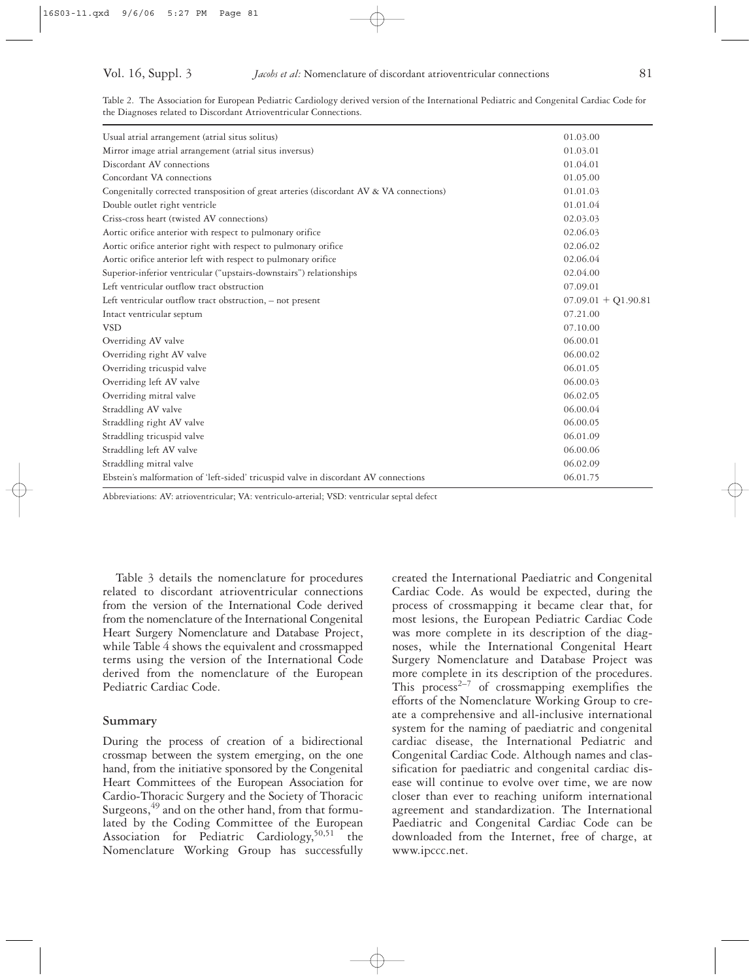#### Vol. 16, Suppl. 3 *Jacobs et al:* Nomenclature of discordant atrioventricular connections 81

Table 2. The Association for European Pediatric Cardiology derived version of the International Pediatric and Congenital Cardiac Code for the Diagnoses related to Discordant Atrioventricular Connections.

| Usual atrial arrangement (atrial situs solitus)                                         | 01.03.00              |
|-----------------------------------------------------------------------------------------|-----------------------|
| Mirror image atrial arrangement (atrial situs inversus)                                 | 01.03.01              |
| Discordant AV connections                                                               | 01.04.01              |
| Concordant VA connections                                                               | 01.05.00              |
| Congenitally corrected transposition of great arteries (discordant AV & VA connections) | 01.01.03              |
| Double outlet right ventricle                                                           | 01.01.04              |
| Criss-cross heart (twisted AV connections)                                              | 02.03.03              |
| Aortic orifice anterior with respect to pulmonary orifice                               | 02.06.03              |
| Aortic orifice anterior right with respect to pulmonary orifice                         | 02.06.02              |
| Aortic orifice anterior left with respect to pulmonary orifice                          | 02.06.04              |
| Superior-inferior ventricular ("upstairs-downstairs") relationships                     | 02.04.00              |
| Left ventricular outflow tract obstruction                                              | 07.09.01              |
| Left ventricular outflow tract obstruction, – not present                               | $07.09.01 + Q1.90.81$ |
| Intact ventricular septum                                                               | 07.21.00              |
| <b>VSD</b>                                                                              | 07.10.00              |
| Overriding AV valve                                                                     | 06.00.01              |
| Overriding right AV valve                                                               | 06.00.02              |
| Overriding tricuspid valve                                                              | 06.01.05              |
| Overriding left AV valve                                                                | 06.00.03              |
| Overriding mitral valve                                                                 | 06.02.05              |
| Straddling AV valve                                                                     | 06.00.04              |
| Straddling right AV valve                                                               | 06.00.05              |
| Straddling tricuspid valve                                                              | 06.01.09              |
| Straddling left AV valve                                                                | 06.00.06              |
| Straddling mitral valve                                                                 | 06.02.09              |
| Ebstein's malformation of 'left-sided' tricuspid valve in discordant AV connections     | 06.01.75              |

Abbreviations: AV: atrioventricular; VA: ventriculo-arterial; VSD: ventricular septal defect

Table 3 details the nomenclature for procedures related to discordant atrioventricular connections from the version of the International Code derived from the nomenclature of the International Congenital Heart Surgery Nomenclature and Database Project, while Table 4 shows the equivalent and crossmapped terms using the version of the International Code derived from the nomenclature of the European Pediatric Cardiac Code.

#### **Summary**

During the process of creation of a bidirectional crossmap between the system emerging, on the one hand, from the initiative sponsored by the Congenital Heart Committees of the European Association for Cardio-Thoracic Surgery and the Society of Thoracic Surgeons, $49$  and on the other hand, from that formulated by the Coding Committee of the European Association for Pediatric Cardiology,  $50,51$  the Nomenclature Working Group has successfully created the International Paediatric and Congenital Cardiac Code. As would be expected, during the process of crossmapping it became clear that, for most lesions, the European Pediatric Cardiac Code was more complete in its description of the diagnoses, while the International Congenital Heart Surgery Nomenclature and Database Project was more complete in its description of the procedures. This process<sup>2-7</sup> of crossmapping exemplifies the efforts of the Nomenclature Working Group to create a comprehensive and all-inclusive international system for the naming of paediatric and congenital cardiac disease, the International Pediatric and Congenital Cardiac Code. Although names and classification for paediatric and congenital cardiac disease will continue to evolve over time, we are now closer than ever to reaching uniform international agreement and standardization. The International Paediatric and Congenital Cardiac Code can be downloaded from the Internet, free of charge, at www.ipccc.net.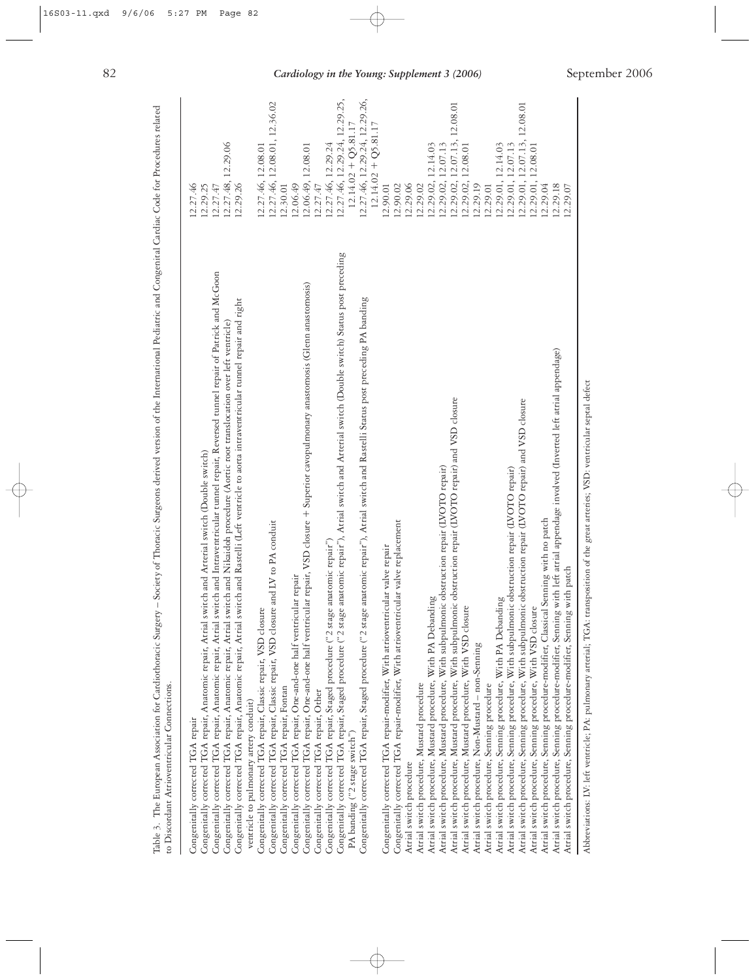| oenital Cardiac Code for Pre<br>nd Congenit.<br>s derived version of the International Pediatric and<br>c Sur.<br>أمصدما<br>Society of Thorac<br>able 3. The European Association for Cardiothoracic S<br>$+ + + +$ | "nored" |
|---------------------------------------------------------------------------------------------------------------------------------------------------------------------------------------------------------------------|---------|
| っつフ<br>.<br>.<br>.<br>.<br>v corrected TGA repair                                                                                                                                                                   |         |

| Society of Thoracic Surgeons derived version of the International Pediatric and Congenital Cardiac Code for Procedures related<br>$\overline{\phantom{a}}$<br>Table 3. The European Association for Cardiothoracic Surgery<br>to Discordant Atrioventricular Connections.                                                                                                                                                                         |                                                       |
|---------------------------------------------------------------------------------------------------------------------------------------------------------------------------------------------------------------------------------------------------------------------------------------------------------------------------------------------------------------------------------------------------------------------------------------------------|-------------------------------------------------------|
| Congenitally corrected TGA repair, Anatomic repair, Atrial switch and Arterial switch (Double switch)<br>Congenitally corrected TGA repair                                                                                                                                                                                                                                                                                                        | 12.27.46<br>12.29.25                                  |
| Congenitally corrected TGA repair, Anatomic repair, Atrial switch and Intraventricular tunnel repair, Reversed tunnel repair of Patrick and McGoon<br>Congenitally corrected TGA repair, Anatomic repair, Atrial switch and Rastelli (Left ventricle to aorta intraventricular tunnel repair and right<br>Congenitally corrected TGA repair, Anatomic repair, Atrial switch and Nikaidoh procedure (Aortic root translocation over left ventricle | 12.27.48, 12.29.06<br>12.29.26<br>12.27.47            |
| ventricle to pulmonary artery conduit)                                                                                                                                                                                                                                                                                                                                                                                                            |                                                       |
| nd LV to PA conduit<br>Congenitally corrected TGA repair, Classic repair, VSD closure ar<br>Congenitally corrected TGA repair, Classic repair, VSD closure                                                                                                                                                                                                                                                                                        | 12.27.46, 12.08.01, 12.36.02<br>12.27.46, 12.08.01    |
| Congenitally corrected TGA repair, One-and-one half ventricular<br>Congenitally corrected TGA repair, Fontan                                                                                                                                                                                                                                                                                                                                      | 12.06.49<br>12.30.01                                  |
| repair, VSD closure + Superior cavopulmonary anastomosis (Glenn anastomosis)<br>repair<br>Congenitally corrected TGA repair, One-and-one half ventricular                                                                                                                                                                                                                                                                                         | 12.06.49, 12.08.01                                    |
| Congenitally corrected TGA repair, Other                                                                                                                                                                                                                                                                                                                                                                                                          | 12.27.47                                              |
| Congenitally corrected TGA repair, Staged procedure ("2 stage anatomic repair")                                                                                                                                                                                                                                                                                                                                                                   | 12.27.46, 12.29.24, 12.29.25,<br>12.27.46, 12.29.24   |
| Congenitally corrected TGA repair, Staged procedure ("2 stage anatomic repair"), Atrial switch and Arterial switch (Double switch) Status post preceding<br>PA banding ("2 stage switch")                                                                                                                                                                                                                                                         | $12.14.02 + Q5.81.17$                                 |
| Congenitally corrected TGA repair, Staged procedure ("2 stage anatomic repair"), Atrial switch and Rastelli Status post preceding PA banding                                                                                                                                                                                                                                                                                                      | 12.27.46, 12.29.24, 12.29.26,                         |
|                                                                                                                                                                                                                                                                                                                                                                                                                                                   | $12.14.02 + Q5.81.17$                                 |
| Congenitally corrected TGA repair-modifier, With atrioventricular valve repair                                                                                                                                                                                                                                                                                                                                                                    | 12.90.01                                              |
| Congenitally corrected TGA repair-modifier, With atrioventricular valve replacement<br>Atrial switch procedure                                                                                                                                                                                                                                                                                                                                    | 12.29.06<br>12.90.02                                  |
| Atrial switch procedure, Mustard procedure                                                                                                                                                                                                                                                                                                                                                                                                        | 12.29.02                                              |
| Atrial switch procedure, Mustard procedure, With PA Debanding                                                                                                                                                                                                                                                                                                                                                                                     | 12.29.02, 12.14.03                                    |
| Atrial switch procedure, Mustard procedure, With subpulmonic obstruction repair (LVOTO repair)                                                                                                                                                                                                                                                                                                                                                    | 12.29.02, 12.07.13                                    |
| obstruction repair (LVOTO repair) and VSD closure<br>Atrial switch procedure, Mustard procedure, With subpulmonic                                                                                                                                                                                                                                                                                                                                 | 12.08.01<br>12.29.02, 12.07.13,                       |
| Atrial switch procedure, Mustard procedure, With VSD closure                                                                                                                                                                                                                                                                                                                                                                                      | 12.29.02, 12.08.01<br>12.29.19                        |
| Atrial switch procedure, Non-Mustard - non-Senning<br>Atrial switch procedure, Senning procedure                                                                                                                                                                                                                                                                                                                                                  | 12.29.01                                              |
| Atrial switch procedure, Senning procedure, With PA Debanding                                                                                                                                                                                                                                                                                                                                                                                     | 12.29.01, 12.14.03                                    |
| Atrial switch procedure, Senning procedure, With subpulmonic obstruction repair (LVOTO repair)                                                                                                                                                                                                                                                                                                                                                    | 12.29.01, 12.07.13                                    |
| Atrial switch procedure, Senning procedure, With subpulmonic obstruction repair (LVOTO repair) and VSD closure                                                                                                                                                                                                                                                                                                                                    | 12.08.01<br>12.29.01, 12.07.13,<br>12.29.01, 12.08.01 |
| Atrial switch procedure, Senning procedure-modifier, Classical Senning with no patch<br>Atrial switch procedure, Senning procedure, With VSD closure                                                                                                                                                                                                                                                                                              | 12.29.04                                              |
| Atrial switch procedure, Senning procedure-modifier, Senning with left atrial appendage involved (Inverted left atrial appendage)                                                                                                                                                                                                                                                                                                                 | 12.29.18                                              |
| Atrial switch procedure, Senning procedure-modifier, Senning with patch                                                                                                                                                                                                                                                                                                                                                                           | 12.29.07                                              |
|                                                                                                                                                                                                                                                                                                                                                                                                                                                   |                                                       |

 $\oplus$ 

Abbreviations: IV: left ventricle; PA: pulmonary arterial; TGA: transposition of the great arteries; VSD: ventricular septal defect Abbreviations: LV: left ventricle; PA: pulmonary arterial; TGA: transposition of the great arteries; VSD: ventricular septal defect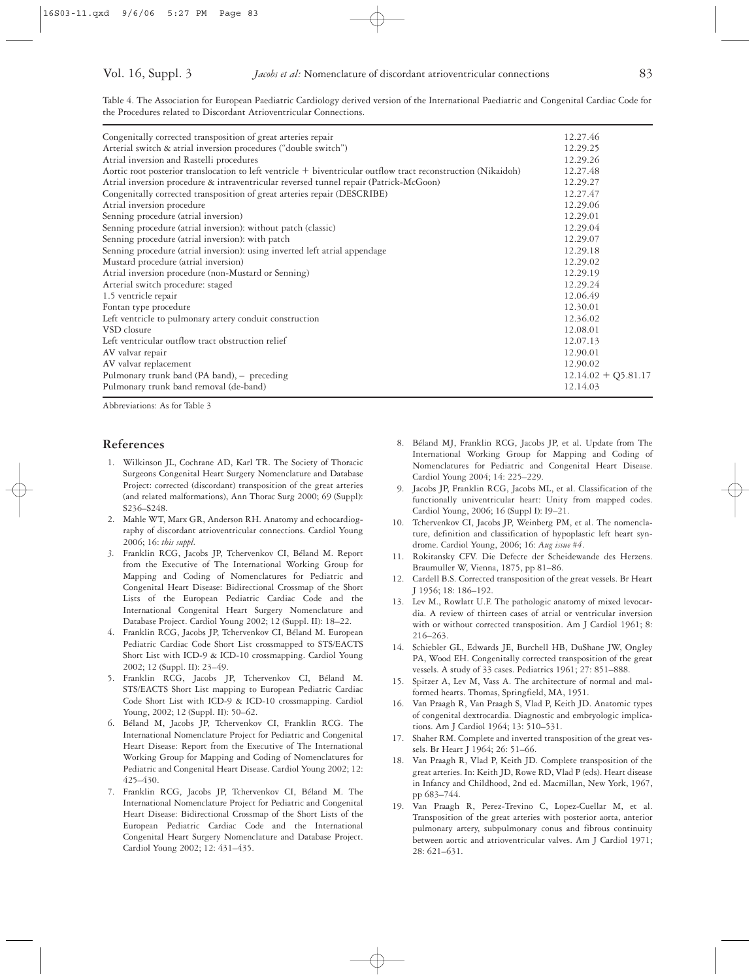#### Vol. 16, Suppl. 3 *Jacobs et al:* Nomenclature of discordant atrioventricular connections 83

Table 4. The Association for European Paediatric Cardiology derived version of the International Paediatric and Congenital Cardiac Code for the Procedures related to Discordant Atrioventricular Connections.

| Congenitally corrected transposition of great arteries repair                                                 | 12.27.46              |
|---------------------------------------------------------------------------------------------------------------|-----------------------|
| Arterial switch & atrial inversion procedures ("double switch")                                               | 12.29.25              |
| Atrial inversion and Rastelli procedures                                                                      | 12.29.26              |
| Aortic root posterior translocation to left ventricle + biventricular outflow tract reconstruction (Nikaidoh) | 12.27.48              |
| Atrial inversion procedure & intraventricular reversed tunnel repair (Patrick-McGoon)                         | 12.29.27              |
| Congenitally corrected transposition of great arteries repair (DESCRIBE)                                      | 12.27.47              |
| Atrial inversion procedure                                                                                    | 12.29.06              |
| Senning procedure (atrial inversion)                                                                          | 12.29.01              |
| Senning procedure (atrial inversion): without patch (classic)                                                 | 12.29.04              |
| Senning procedure (atrial inversion): with patch                                                              | 12.29.07              |
| Senning procedure (atrial inversion): using inverted left atrial appendage                                    | 12.29.18              |
| Mustard procedure (atrial inversion)                                                                          | 12.29.02              |
| Atrial inversion procedure (non-Mustard or Senning)                                                           | 12.29.19              |
| Arterial switch procedure: staged                                                                             | 12.29.24              |
| 1.5 ventricle repair                                                                                          | 12.06.49              |
| Fontan type procedure                                                                                         | 12.30.01              |
| Left ventricle to pulmonary artery conduit construction                                                       | 12.36.02              |
| VSD closure                                                                                                   | 12.08.01              |
| Left ventricular outflow tract obstruction relief                                                             | 12.07.13              |
| AV valvar repair                                                                                              | 12.90.01              |
| AV valvar replacement                                                                                         | 12.90.02              |
| Pulmonary trunk band (PA band), - preceding                                                                   | $12.14.02 + Q5.81.17$ |
| Pulmonary trunk band removal (de-band)                                                                        | 12.14.03              |

Abbreviations: As for Table 3

#### **References**

- 1. Wilkinson JL, Cochrane AD, Karl TR. The Society of Thoracic Surgeons Congenital Heart Surgery Nomenclature and Database Project: corrected (discordant) transposition of the great arteries (and related malformations), Ann Thorac Surg 2000; 69 (Suppl): S236–S248.
- 2. Mahle WT, Marx GR, Anderson RH. Anatomy and echocardiography of discordant atrioventricular connections. Cardiol Young 2006; 16: *this suppl.*
- *3.* Franklin RCG, Jacobs JP, Tchervenkov CI, Béland M. Report from the Executive of The International Working Group for Mapping and Coding of Nomenclatures for Pediatric and Congenital Heart Disease: Bidirectional Crossmap of the Short Lists of the European Pediatric Cardiac Code and the International Congenital Heart Surgery Nomenclature and Database Project. Cardiol Young 2002; 12 (Suppl. II): 18–22.
- 4. Franklin RCG, Jacobs JP, Tchervenkov CI, Béland M. European Pediatric Cardiac Code Short List crossmapped to STS/EACTS Short List with ICD-9 & ICD-10 crossmapping. Cardiol Young 2002; 12 (Suppl. II): 23–49.
- 5. Franklin RCG, Jacobs JP, Tchervenkov CI, Béland M. STS/EACTS Short List mapping to European Pediatric Cardiac Code Short List with ICD-9 & ICD-10 crossmapping. Cardiol Young, 2002; 12 (Suppl. II): 50–62.
- 6. Béland M, Jacobs JP, Tchervenkov CI, Franklin RCG. The International Nomenclature Project for Pediatric and Congenital Heart Disease: Report from the Executive of The International Working Group for Mapping and Coding of Nomenclatures for Pediatric and Congenital Heart Disease. Cardiol Young 2002; 12: 425–430.
- 7. Franklin RCG, Jacobs JP, Tchervenkov CI, Béland M. The International Nomenclature Project for Pediatric and Congenital Heart Disease: Bidirectional Crossmap of the Short Lists of the European Pediatric Cardiac Code and the International Congenital Heart Surgery Nomenclature and Database Project. Cardiol Young 2002; 12: 431–435.
- 8. Béland MJ, Franklin RCG, Jacobs JP, et al. Update from The International Working Group for Mapping and Coding of Nomenclatures for Pediatric and Congenital Heart Disease. Cardiol Young 2004; 14: 225–229.
- Jacobs JP, Franklin RCG, Jacobs ML, et al. Classification of the functionally univentricular heart: Unity from mapped codes. Cardiol Young, 2006; 16 (Suppl I): I9–21.
- 10. Tchervenkov CI, Jacobs JP, Weinberg PM, et al. The nomenclature, definition and classification of hypoplastic left heart syndrome. Cardiol Young, 2006; 16: *Aug issue #4*.
- 11. Rokitansky CFV. Die Defecte der Scheidewande des Herzens. Braumuller W, Vienna, 1875, pp 81–86.
- 12. Cardell B.S. Corrected transposition of the great vessels. Br Heart J 1956; 18: 186–192.
- 13. Lev M., Rowlatt U.F. The pathologic anatomy of mixed levocardia. A review of thirteen cases of atrial or ventricular inversion with or without corrected transposition. Am J Cardiol 1961; 8: 216–263.
- 14. Schiebler GL, Edwards JE, Burchell HB, DuShane JW, Ongley PA, Wood EH. Congenitally corrected transposition of the great vessels. A study of 33 cases. Pediatrics 1961; 27: 851–888.
- 15. Spitzer A, Lev M, Vass A. The architecture of normal and malformed hearts. Thomas, Springfield, MA, 1951.
- 16. Van Praagh R, Van Praagh S, Vlad P, Keith JD. Anatomic types of congenital dextrocardia. Diagnostic and embryologic implications. Am J Cardiol 1964; 13: 510–531.
- 17. Shaher RM. Complete and inverted transposition of the great vessels. Br Heart J 1964; 26: 51–66.
- 18. Van Praagh R, Vlad P, Keith JD. Complete transposition of the great arteries. In: Keith JD, Rowe RD, Vlad P (eds). Heart disease in Infancy and Childhood, 2nd ed. Macmillan, New York, 1967, pp 683–744.
- 19. Van Praagh R, Perez-Trevino C, Lopez-Cuellar M, et al. Transposition of the great arteries with posterior aorta, anterior pulmonary artery, subpulmonary conus and fibrous continuity between aortic and atrioventricular valves. Am J Cardiol 1971; 28: 621–631.